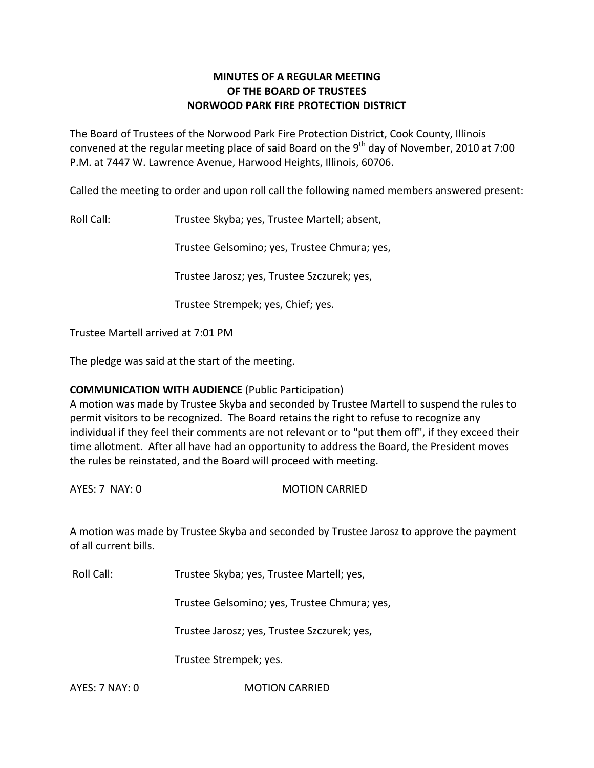# **MINUTES OF A REGULAR MEETING OF THE BOARD OF TRUSTEES NORWOOD PARK FIRE PROTECTION DISTRICT**

The Board of Trustees of the Norwood Park Fire Protection District, Cook County, Illinois convened at the regular meeting place of said Board on the 9<sup>th</sup> day of November, 2010 at 7:00 P.M. at 7447 W. Lawrence Avenue, Harwood Heights, Illinois, 60706.

Called the meeting to order and upon roll call the following named members answered present:

Roll Call: Trustee Skyba; yes, Trustee Martell; absent,

Trustee Gelsomino; yes, Trustee Chmura; yes,

Trustee Jarosz; yes, Trustee Szczurek; yes,

Trustee Strempek; yes, Chief; yes.

Trustee Martell arrived at 7:01 PM

The pledge was said at the start of the meeting.

# **COMMUNICATION WITH AUDIENCE** (Public Participation)

A motion was made by Trustee Skyba and seconded by Trustee Martell to suspend the rules to permit visitors to be recognized. The Board retains the right to refuse to recognize any individual if they feel their comments are not relevant or to "put them off", if they exceed their time allotment. After all have had an opportunity to address the Board, the President moves the rules be reinstated, and the Board will proceed with meeting.

AYES: 7 NAY: 0 MOTION CARRIED

A motion was made by Trustee Skyba and seconded by Trustee Jarosz to approve the payment of all current bills.

Roll Call: Trustee Skyba; yes, Trustee Martell; yes,

Trustee Gelsomino; yes, Trustee Chmura; yes,

Trustee Jarosz; yes, Trustee Szczurek; yes,

Trustee Strempek; yes.

AYES: 7 NAY: 0 **MOTION CARRIED**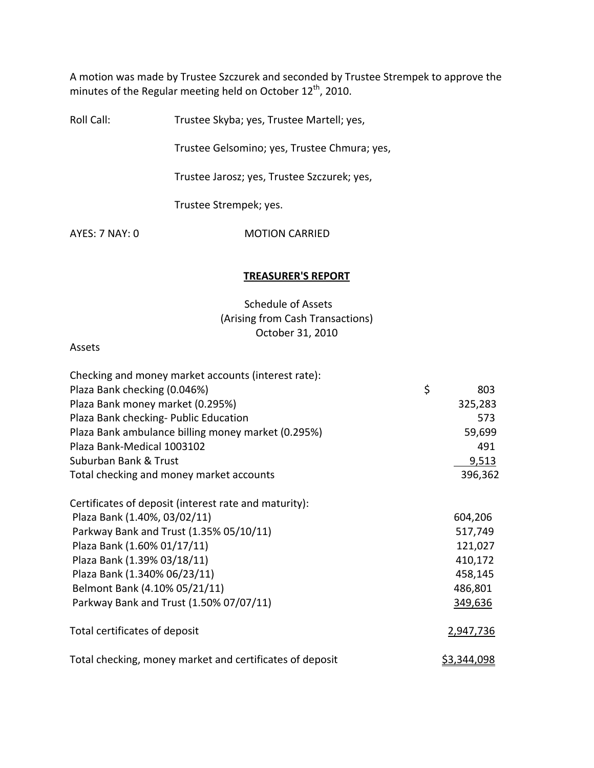A motion was made by Trustee Szczurek and seconded by Trustee Strempek to approve the minutes of the Regular meeting held on October 12<sup>th</sup>, 2010.

Roll Call: Trustee Skyba; yes, Trustee Martell; yes,

Trustee Gelsomino; yes, Trustee Chmura; yes,

Trustee Jarosz; yes, Trustee Szczurek; yes,

Trustee Strempek; yes.

AYES: 7 NAY: 0 **MOTION CARRIED** 

#### **TREASURER'S REPORT**

# Schedule of Assets (Arising from Cash Transactions) October 31, 2010

#### Assets

| Checking and money market accounts (interest rate):      |                    |
|----------------------------------------------------------|--------------------|
| Plaza Bank checking (0.046%)                             | \$<br>803          |
| Plaza Bank money market (0.295%)                         | 325,283            |
| Plaza Bank checking- Public Education                    | 573                |
| Plaza Bank ambulance billing money market (0.295%)       | 59,699             |
| Plaza Bank-Medical 1003102                               | 491                |
| Suburban Bank & Trust                                    | 9,513              |
| Total checking and money market accounts                 | 396,362            |
| Certificates of deposit (interest rate and maturity):    |                    |
| Plaza Bank (1.40%, 03/02/11)                             | 604,206            |
| Parkway Bank and Trust (1.35% 05/10/11)                  | 517,749            |
| Plaza Bank (1.60% 01/17/11)                              | 121,027            |
| Plaza Bank (1.39% 03/18/11)                              | 410,172            |
| Plaza Bank (1.340% 06/23/11)                             | 458,145            |
| Belmont Bank (4.10% 05/21/11)                            | 486,801            |
| Parkway Bank and Trust (1.50% 07/07/11)                  | 349,636            |
| Total certificates of deposit                            | 2,947,736          |
| Total checking, money market and certificates of deposit | <u>\$3,344,098</u> |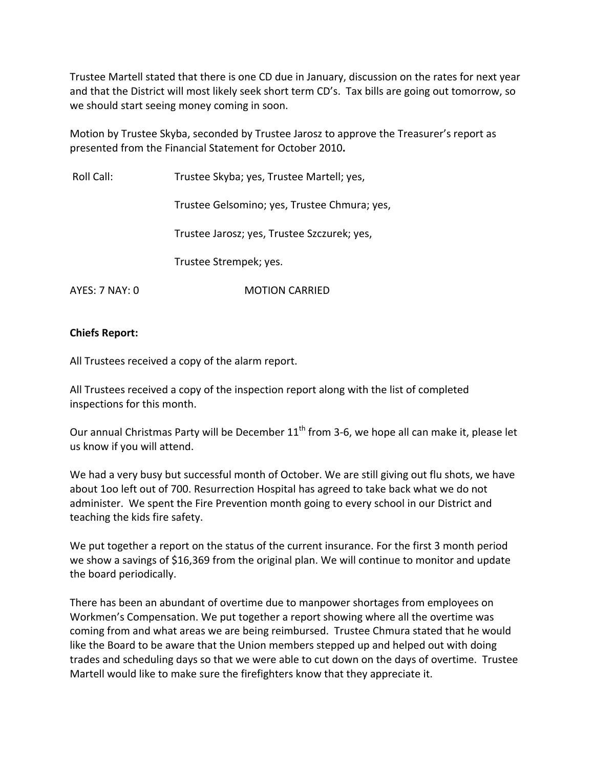Trustee Martell stated that there is one CD due in January, discussion on the rates for next year and that the District will most likely seek short term CD's. Tax bills are going out tomorrow, so we should start seeing money coming in soon.

Motion by Trustee Skyba, seconded by Trustee Jarosz to approve the Treasurer's report as presented from the Financial Statement for October 2010**.**

Roll Call: Trustee Skyba; yes, Trustee Martell; yes, Trustee Gelsomino; yes, Trustee Chmura; yes, Trustee Jarosz; yes, Trustee Szczurek; yes, Trustee Strempek; yes. AYES: 7 NAY: 0 **MOTION CARRIED** 

## **Chiefs Report:**

All Trustees received a copy of the alarm report.

All Trustees received a copy of the inspection report along with the list of completed inspections for this month.

Our annual Christmas Party will be December  $11<sup>th</sup>$  from 3-6, we hope all can make it, please let us know if you will attend.

We had a very busy but successful month of October. We are still giving out flu shots, we have about 1oo left out of 700. Resurrection Hospital has agreed to take back what we do not administer. We spent the Fire Prevention month going to every school in our District and teaching the kids fire safety.

We put together a report on the status of the current insurance. For the first 3 month period we show a savings of \$16,369 from the original plan. We will continue to monitor and update the board periodically.

There has been an abundant of overtime due to manpower shortages from employees on Workmen's Compensation. We put together a report showing where all the overtime was coming from and what areas we are being reimbursed. Trustee Chmura stated that he would like the Board to be aware that the Union members stepped up and helped out with doing trades and scheduling days so that we were able to cut down on the days of overtime. Trustee Martell would like to make sure the firefighters know that they appreciate it.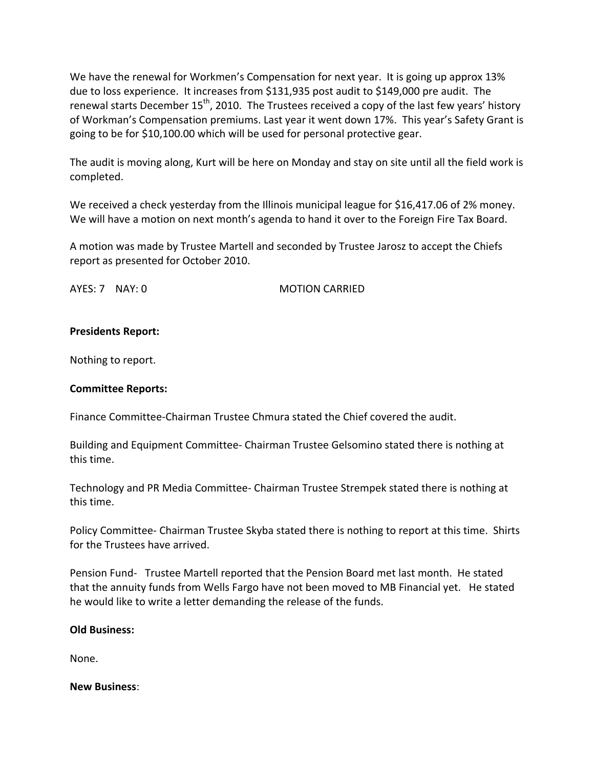We have the renewal for Workmen's Compensation for next year. It is going up approx 13% due to loss experience. It increases from \$131,935 post audit to \$149,000 pre audit. The renewal starts December 15<sup>th</sup>, 2010. The Trustees received a copy of the last few years' history of Workman's Compensation premiums. Last year it went down 17%. This year's Safety Grant is going to be for \$10,100.00 which will be used for personal protective gear.

The audit is moving along, Kurt will be here on Monday and stay on site until all the field work is completed.

We received a check yesterday from the Illinois municipal league for \$16,417.06 of 2% money. We will have a motion on next month's agenda to hand it over to the Foreign Fire Tax Board.

A motion was made by Trustee Martell and seconded by Trustee Jarosz to accept the Chiefs report as presented for October 2010.

AYES: 7 NAY: 0 **MOTION CARRIED** 

## **Presidents Report:**

Nothing to report.

### **Committee Reports:**

Finance Committee‐Chairman Trustee Chmura stated the Chief covered the audit.

Building and Equipment Committee‐ Chairman Trustee Gelsomino stated there is nothing at this time.

Technology and PR Media Committee‐ Chairman Trustee Strempek stated there is nothing at this time.

Policy Committee‐ Chairman Trustee Skyba stated there is nothing to report at this time. Shirts for the Trustees have arrived.

Pension Fund‐ Trustee Martell reported that the Pension Board met last month. He stated that the annuity funds from Wells Fargo have not been moved to MB Financial yet. He stated he would like to write a letter demanding the release of the funds.

### **Old Business:**

None.

### **New Business**: